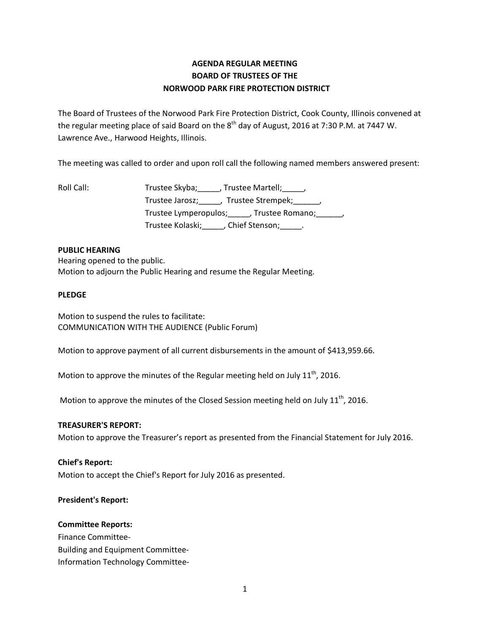# **AGENDA REGULAR MEETING BOARD OF TRUSTEES OF THE NORWOOD PARK FIRE PROTECTION DISTRICT**

The Board of Trustees of the Norwood Park Fire Protection District, Cook County, Illinois convened at the regular meeting place of said Board on the  $8^{\text{th}}$  day of August, 2016 at 7:30 P.M. at 7447 W. Lawrence Ave., Harwood Heights, Illinois.

The meeting was called to order and upon roll call the following named members answered present:

| Roll Call: | Trustee Skyba; , Trustee Martell; ,                   |
|------------|-------------------------------------------------------|
|            | Trustee Jarosz; _____, Trustee Strempek; _____,       |
|            | Trustee Lymperopulos; ______, Trustee Romano; ______, |
|            | Trustee Kolaski; (Chief Stenson; )                    |

### **PUBLIC HEARING**

Hearing opened to the public. Motion to adjourn the Public Hearing and resume the Regular Meeting.

### **PLEDGE**

Motion to suspend the rules to facilitate: COMMUNICATION WITH THE AUDIENCE (Public Forum)

Motion to approve payment of all current disbursements in the amount of \$413,959.66.

Motion to approve the minutes of the Regular meeting held on July  $11<sup>th</sup>$ , 2016.

Motion to approve the minutes of the Closed Session meeting held on July  $11<sup>th</sup>$ , 2016.

### **TREASURER'S REPORT:**

Motion to approve the Treasurer's report as presented from the Financial Statement for July 2016.

### **Chief's Report:**

Motion to accept the Chief's Report for July 2016 as presented.

## **President's Report:**

### **Committee Reports:**

Finance Committee-Building and Equipment Committee-Information Technology Committee-